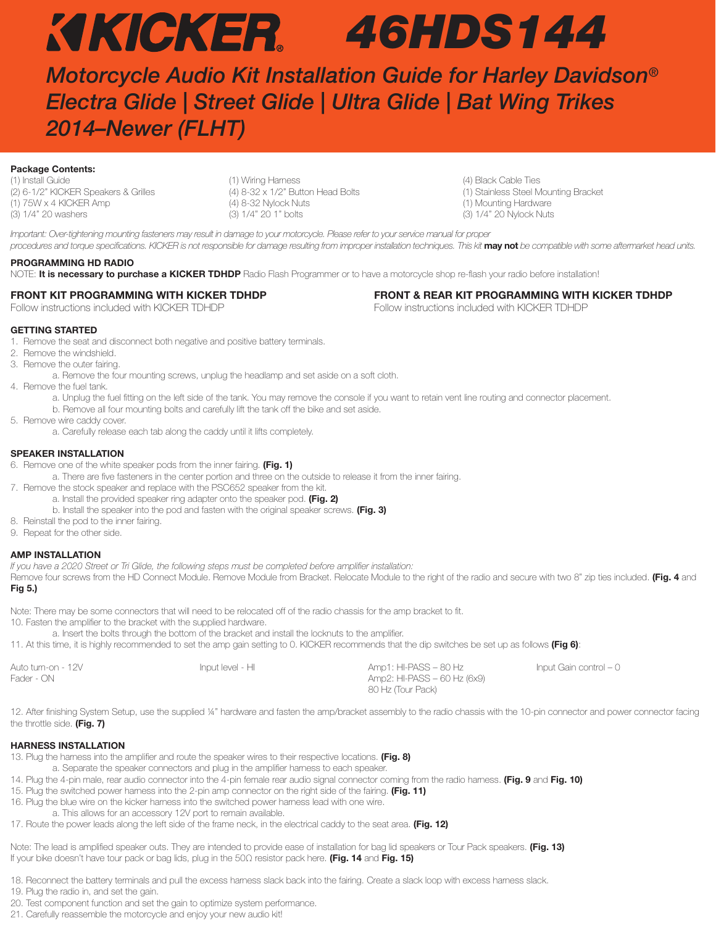# *46HDS144*

*Motorcycle Audio Kit Installation Guide for Harley Davidson® Electra Glide | Street Glide | Ultra Glide | Bat Wing Trikes 2014–Newer (FLHT)* 

# **Package Contents:**

(2) 6-1/2" KICKER Speakers & Grilles (1) 75W x 4 KICKER Amp (4) 8-32 Nylock Nuts (1) Mounting Hardware (3) 1/4" 20 washers (3) 1/4" 20 1" bolts (3) 1/4" 20 Nylock Nuts

(1) Install Guide (1) Install Guide (1) Outlies (1) Wiring Harness (1) Outlies (1) All and Science (4) Black Cable Ties (2) (1) Stainless Steel Mounting Bracket (2) (1) Stainless Steel Mounting Bracket (2) (1) Stainless St

Important: Over-tightening mounting fasteners may result in damage to your motorcycle. Please refer to your service manual for proper procedures and torque specifications. KICKER is not responsible for damage resulting from improper installation techniques. This kit may not be compatible with some aftermarket head units.

# **PROGRAMMING HD RADIO**

NOTE: **It is necessary to purchase a KICKER TDHDP** Radio Flash Programmer or to have a motorcycle shop re-flash your radio before installation!

# **FRONT KIT PROGRAMMING WITH KICKER TDHDP**

Follow instructions included with KICKER TDHDP

### **FRONT & REAR KIT PROGRAMMING WITH KICKER TDHDP** Follow instructions included with KICKER TDHDP

### **GETTING STARTED**

1. Remove the seat and disconnect both negative and positive battery terminals.

- 2. Remove the windshield.
- 3. Remove the outer fairing.
	- a. Remove the four mounting screws, unplug the headlamp and set aside on a soft cloth.
- 4. Remove the fuel tank.
	- a. Unplug the fuel fitting on the left side of the tank. You may remove the console if you want to retain vent line routing and connector placement.
	- b. Remove all four mounting bolts and carefully lift the tank off the bike and set aside.
- 5. Remove wire caddy cover.
	- a. Carefully release each tab along the caddy until it lifts completely.

# **SPEAKER INSTALLATION**

- 6. Remove one of the white speaker pods from the inner fairing. **(Fig. 1)**
- a. There are five fasteners in the center portion and three on the outside to release it from the inner fairing.
- 7. Remove the stock speaker and replace with the PSC652 speaker from the kit.
	- a. Install the provided speaker ring adapter onto the speaker pod. **(Fig. 2)**
	- b. Install the speaker into the pod and fasten with the original speaker screws. **(Fig. 3)**
- 8. Reinstall the pod to the inner fairing.
- 9. Repeat for the other side.

# **AMP INSTALLATION**

If you have a 2020 Street or Tri Glide, the following steps must be completed before amplifier installation:

Remove four screws from the HD Connect Module. Remove Module from Bracket. Relocate Module to the right of the radio and secure with two 8" zip ties included. **(Fig. 4** and **Fig 5.)**

Note: There may be some connectors that will need to be relocated off of the radio chassis for the amp bracket to fit.

10. Fasten the amplifier to the bracket with the supplied hardware.

a. Insert the bolts through the bottom of the bracket and install the locknuts to the amplifier.

11. At this time, it is highly recommended to set the amp gain setting to 0. KICKER recommends that the dip switches be set up as follows **(Fig 6)**:

| Auto turn-on - 12V | Input level - HI | Amp1: HI-PASS – 80 Hz       | Input Gain control – 0 |
|--------------------|------------------|-----------------------------|------------------------|
| Fader - ON         |                  | Amp2: HI-PASS – 60 Hz (6x9) |                        |
|                    |                  | 80 Hz (Tour Pack)           |                        |

12. After finishing System Setup, use the supplied 1/4" hardware and fasten the amp/bracket assembly to the radio chassis with the 10-pin connector and power connector facing the throttle side. **(Fig. 7)**

# **HARNESS INSTALLATION**

13. Plug the harness into the amplifier and route the speaker wires to their respective locations. **(Fig. 8)** 

- a. Separate the speaker connectors and plug in the amplifier harness to each speaker.
- 14. Plug the 4-pin male, rear audio connector into the 4-pin female rear audio signal connector coming from the radio harness. **(Fig. 9** and **Fig. 10)**
- 15. Plug the switched power harness into the 2-pin amp connector on the right side of the fairing. **(Fig. 11)** 16. Plug the blue wire on the kicker harness into the switched power harness lead with one wire.
- a. This allows for an accessory 12V port to remain available.
- 17. Route the power leads along the left side of the frame neck, in the electrical caddy to the seat area. **(Fig. 12)**

Note: The lead is amplified speaker outs. They are intended to provide ease of installation for bag lid speakers or Tour Pack speakers. **(Fig. 13)** If your bike doesn't have tour pack or bag lids, plug in the 50Ω resistor pack here. **(Fig. 14** and **Fig. 15)**

18. Reconnect the battery terminals and pull the excess harness slack back into the fairing. Create a slack loop with excess harness slack.

- 19. Plug the radio in, and set the gain.
- 20. Test component function and set the gain to optimize system performance.
- 21. Carefully reassemble the motorcycle and enjoy your new audio kit!